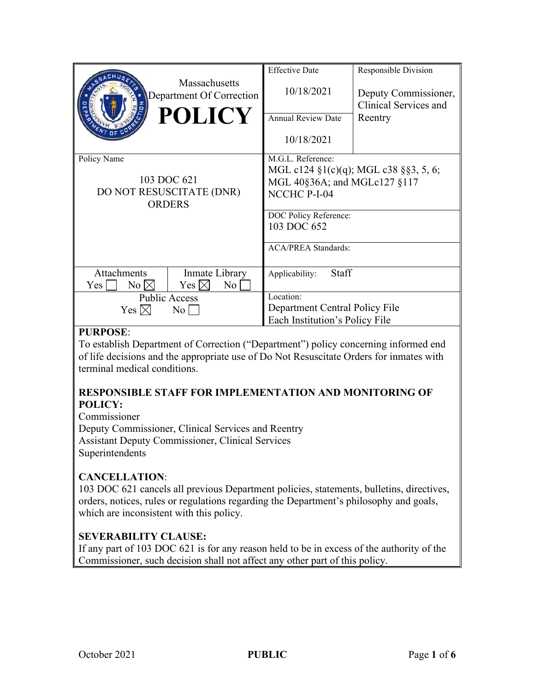|                                                                         | <b>Massachusetts</b>                      | <b>Effective Date</b>                         | Responsible Division                          |
|-------------------------------------------------------------------------|-------------------------------------------|-----------------------------------------------|-----------------------------------------------|
|                                                                         | Department Of Correction<br><b>POLICY</b> | 10/18/2021                                    | Deputy Commissioner,<br>Clinical Services and |
|                                                                         |                                           | <b>Annual Review Date</b>                     | Reentry                                       |
|                                                                         |                                           | 10/18/2021                                    |                                               |
| Policy Name<br>103 DOC 621<br>DO NOT RESUSCITATE (DNR)<br><b>ORDERS</b> |                                           | M.G.L. Reference:                             |                                               |
|                                                                         |                                           | MGL c124 $\S1(c)(q)$ ; MGL c38 $\S$ §3, 5, 6; |                                               |
|                                                                         |                                           | MGL 40§36A; and MGLc127 §117                  |                                               |
|                                                                         |                                           | NCCHC P-I-04                                  |                                               |
|                                                                         |                                           | DOC Policy Reference:                         |                                               |
|                                                                         |                                           | 103 DOC 652                                   |                                               |
|                                                                         |                                           | <b>ACA/PREA Standards:</b>                    |                                               |
| <b>Attachments</b>                                                      | Inmate Library                            | <b>Staff</b><br>Applicability:                |                                               |
| Yes  <br>$No \bowtie$                                                   | Yes $\boxtimes$<br>$\overline{N_0}$       |                                               |                                               |
| <b>Public Access</b>                                                    |                                           | Location:                                     |                                               |
| Yes $\boxtimes$<br>No                                                   |                                           | Department Central Policy File                |                                               |
|                                                                         |                                           | Each Institution's Policy File                |                                               |

## **PURPOSE**:

To establish Department of Correction ("Department") policy concerning informed end of life decisions and the appropriate use of Do Not Resuscitate Orders for inmates with terminal medical conditions.

## **RESPONSIBLE STAFF FOR IMPLEMENTATION AND MONITORING OF POLICY:**

Commissioner Deputy Commissioner, Clinical Services and Reentry Assistant Deputy Commissioner, Clinical Services Superintendents

## **CANCELLATION**:

103 DOC 621 cancels all previous Department policies, statements, bulletins, directives, orders, notices, rules or regulations regarding the Department's philosophy and goals, which are inconsistent with this policy.

## **SEVERABILITY CLAUSE:**

If any part of 103 DOC 621 is for any reason held to be in excess of the authority of the Commissioner, such decision shall not affect any other part of this policy.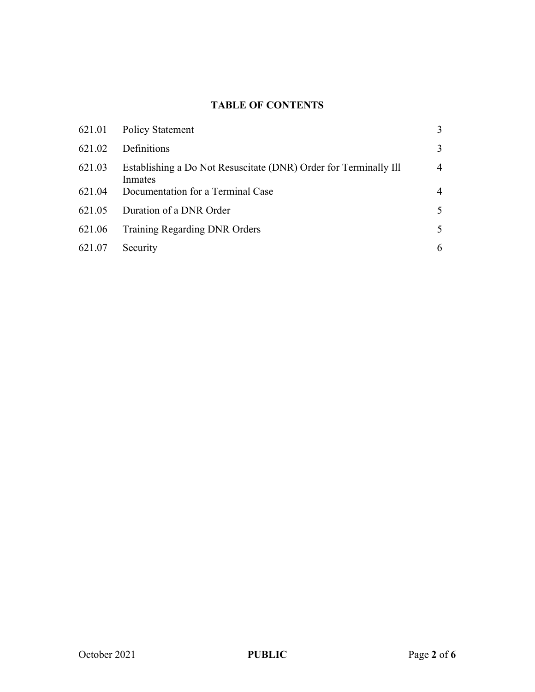# **TABLE OF CONTENTS**

|        | 621.01 Policy Statement                                                     | 3              |
|--------|-----------------------------------------------------------------------------|----------------|
| 621.02 | Definitions                                                                 | 3              |
| 621.03 | Establishing a Do Not Resuscitate (DNR) Order for Terminally Ill<br>Inmates | $\overline{4}$ |
| 621.04 | Documentation for a Terminal Case                                           | 4              |
| 621.05 | Duration of a DNR Order                                                     | 5              |
| 621.06 | <b>Training Regarding DNR Orders</b>                                        | 5              |
| 621.07 | Security                                                                    | 6              |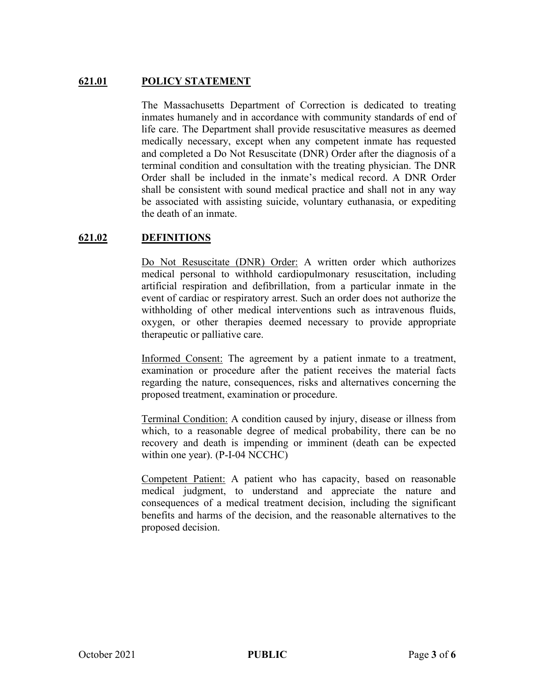## **621.01 POLICY STATEMENT**

The Massachusetts Department of Correction is dedicated to treating inmates humanely and in accordance with community standards of end of life care. The Department shall provide resuscitative measures as deemed medically necessary, except when any competent inmate has requested and completed a Do Not Resuscitate (DNR) Order after the diagnosis of a terminal condition and consultation with the treating physician. The DNR Order shall be included in the inmate's medical record. A DNR Order shall be consistent with sound medical practice and shall not in any way be associated with assisting suicide, voluntary euthanasia, or expediting the death of an inmate.

## **621.02 DEFINITIONS**

Do Not Resuscitate (DNR) Order: A written order which authorizes medical personal to withhold cardiopulmonary resuscitation, including artificial respiration and defibrillation, from a particular inmate in the event of cardiac or respiratory arrest. Such an order does not authorize the withholding of other medical interventions such as intravenous fluids, oxygen, or other therapies deemed necessary to provide appropriate therapeutic or palliative care.

Informed Consent: The agreement by a patient inmate to a treatment, examination or procedure after the patient receives the material facts regarding the nature, consequences, risks and alternatives concerning the proposed treatment, examination or procedure.

Terminal Condition: A condition caused by injury, disease or illness from which, to a reasonable degree of medical probability, there can be no recovery and death is impending or imminent (death can be expected within one year). (P-I-04 NCCHC)

Competent Patient: A patient who has capacity, based on reasonable medical judgment, to understand and appreciate the nature and consequences of a medical treatment decision, including the significant benefits and harms of the decision, and the reasonable alternatives to the proposed decision.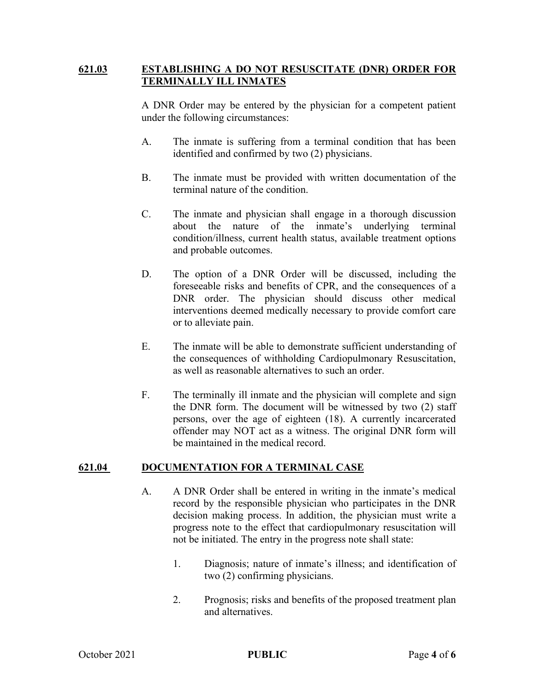#### **621.03 ESTABLISHING A DO NOT RESUSCITATE (DNR) ORDER FOR TERMINALLY ILL INMATES**

A DNR Order may be entered by the physician for a competent patient under the following circumstances:

- A. The inmate is suffering from a terminal condition that has been identified and confirmed by two (2) physicians.
- B. The inmate must be provided with written documentation of the terminal nature of the condition.
- C. The inmate and physician shall engage in a thorough discussion about the nature of the inmate's underlying terminal condition/illness, current health status, available treatment options and probable outcomes.
- D. The option of a DNR Order will be discussed, including the foreseeable risks and benefits of CPR, and the consequences of a DNR order. The physician should discuss other medical interventions deemed medically necessary to provide comfort care or to alleviate pain.
- E. The inmate will be able to demonstrate sufficient understanding of the consequences of withholding Cardiopulmonary Resuscitation, as well as reasonable alternatives to such an order.
- F. The terminally ill inmate and the physician will complete and sign the DNR form. The document will be witnessed by two (2) staff persons, over the age of eighteen (18). A currently incarcerated offender may NOT act as a witness. The original DNR form will be maintained in the medical record.

#### **621.04 DOCUMENTATION FOR A TERMINAL CASE**

- A. A DNR Order shall be entered in writing in the inmate's medical record by the responsible physician who participates in the DNR decision making process. In addition, the physician must write a progress note to the effect that cardiopulmonary resuscitation will not be initiated. The entry in the progress note shall state:
	- 1. Diagnosis; nature of inmate's illness; and identification of two (2) confirming physicians.
	- 2. Prognosis; risks and benefits of the proposed treatment plan and alternatives.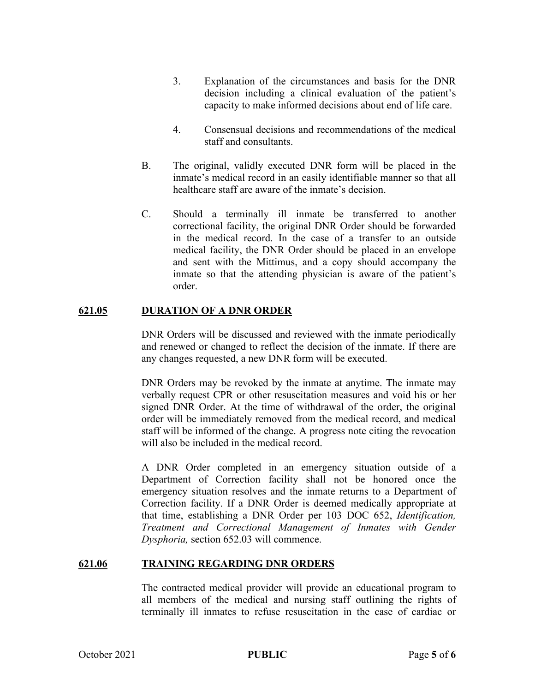- 3. Explanation of the circumstances and basis for the DNR decision including a clinical evaluation of the patient's capacity to make informed decisions about end of life care.
- 4. Consensual decisions and recommendations of the medical staff and consultants.
- B. The original, validly executed DNR form will be placed in the inmate's medical record in an easily identifiable manner so that all healthcare staff are aware of the inmate's decision.
- C. Should a terminally ill inmate be transferred to another correctional facility, the original DNR Order should be forwarded in the medical record. In the case of a transfer to an outside medical facility, the DNR Order should be placed in an envelope and sent with the Mittimus, and a copy should accompany the inmate so that the attending physician is aware of the patient's order.

## **621.05 DURATION OF A DNR ORDER**

DNR Orders will be discussed and reviewed with the inmate periodically and renewed or changed to reflect the decision of the inmate. If there are any changes requested, a new DNR form will be executed.

DNR Orders may be revoked by the inmate at anytime. The inmate may verbally request CPR or other resuscitation measures and void his or her signed DNR Order. At the time of withdrawal of the order, the original order will be immediately removed from the medical record, and medical staff will be informed of the change. A progress note citing the revocation will also be included in the medical record.

A DNR Order completed in an emergency situation outside of a Department of Correction facility shall not be honored once the emergency situation resolves and the inmate returns to a Department of Correction facility. If a DNR Order is deemed medically appropriate at that time, establishing a DNR Order per 103 DOC 652, *Identification, Treatment and Correctional Management of Inmates with Gender Dysphoria,* section 652.03 will commence.

#### **621.06 TRAINING REGARDING DNR ORDERS**

The contracted medical provider will provide an educational program to all members of the medical and nursing staff outlining the rights of terminally ill inmates to refuse resuscitation in the case of cardiac or